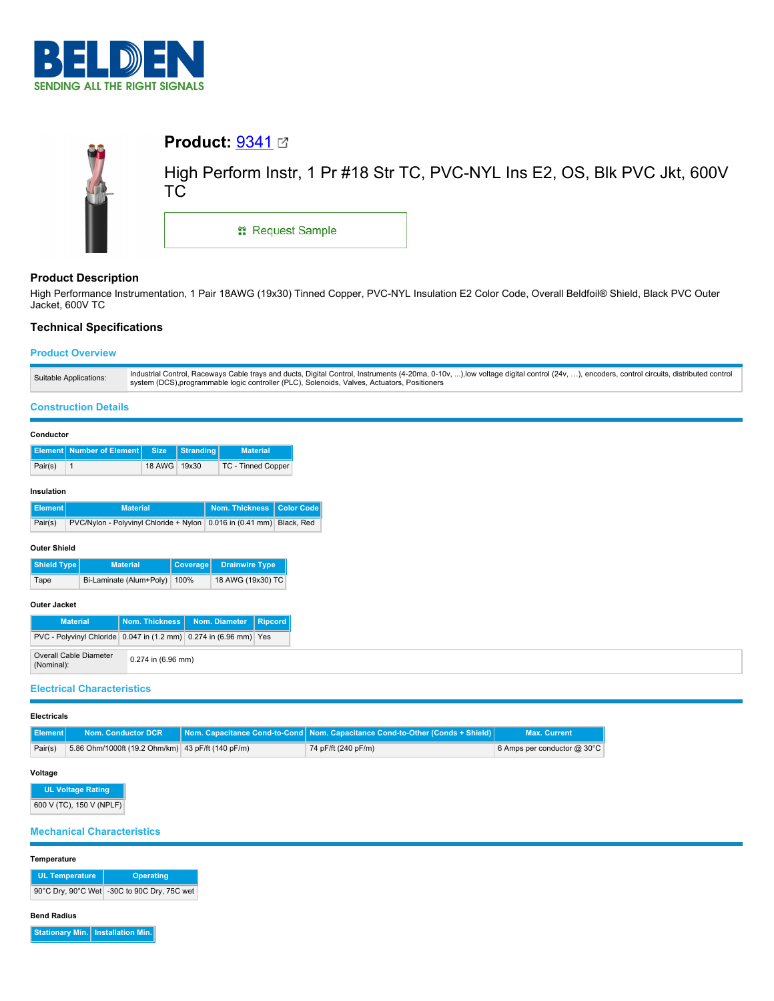



# **Product:** [9341](https://catalog.belden.com/index.cfm?event=pd&p=PF_9341&tab=downloads)

High Perform Instr, 1 Pr #18 Str TC, PVC-NYL Ins E2, OS, Blk PVC Jkt, 600V TC

**::** Request Sample

# **Product Description**

High Performance Instrumentation, 1 Pair 18AWG (19x30) Tinned Copper, PVC-NYL Insulation E2 Color Code, Overall Beldfoil® Shield, Black PVC Outer Jacket, 600V TC

# **Technical Specifications**

# **Product Overview**

| Industrial Control, Raceways Cable trays and ducts, Digital Control, Instruments (4-20ma, 0-10v, ),low voltage digital control (24v, ), encoders, control circuits, distributed control<br>Suitable Applications:<br>system (DCS), programmable logic controller (PLC), Solenoids, Valves, Actuators, Positioners |
|-------------------------------------------------------------------------------------------------------------------------------------------------------------------------------------------------------------------------------------------------------------------------------------------------------------------|
|-------------------------------------------------------------------------------------------------------------------------------------------------------------------------------------------------------------------------------------------------------------------------------------------------------------------|

## **Construction Details**

| Conductor |                                    |              |           |                           |  |
|-----------|------------------------------------|--------------|-----------|---------------------------|--|
|           | Element   Number of Element   Size |              | Stranding | <b>Material</b>           |  |
| Pair(s)   |                                    | 18 AWG 19x30 |           | <b>TC - Tinned Copper</b> |  |
|           |                                    |              |           |                           |  |

# **Insulation**

| Element I | <b>Material</b>                                                      | Nom. Thickness   Color Code |  |
|-----------|----------------------------------------------------------------------|-----------------------------|--|
| Pair(s)   | PVC/Nylon - Polyvinyl Chloride + Nylon 0.016 in (0.41 mm) Black, Red |                             |  |

#### **Outer Shield**

| Shield Type | <b>Material</b>              | Coverage | <b>Drainwire Type</b> |
|-------------|------------------------------|----------|-----------------------|
| Tape        | Bi-Laminate (Alum+Poly) 100% |          | 18 AWG (19x30) TC     |

# **Outer Jacket**

| <b>Material</b>                                                         |                      | Nom. Thickness   Nom. Diameter   Ripcord |  |
|-------------------------------------------------------------------------|----------------------|------------------------------------------|--|
| PVC - Polyvinyl Chloride   0.047 in (1.2 mm)   0.274 in (6.96 mm)   Yes |                      |                                          |  |
| Overall Cable Diameter<br>(Nominal):                                    | $0.274$ in (6.96 mm) |                                          |  |

# **Electrical Characteristics**

#### **Electricals**

| II Element I | <b>Nom. Conductor DCR</b>                         | Nom. Capacitance Cond-to-Cond   Nom. Capacitance Cond-to-Other (Conds + Shield) | <b>Max. Current</b>                  |
|--------------|---------------------------------------------------|---------------------------------------------------------------------------------|--------------------------------------|
| Pair(s)      | 5.86 Ohm/1000ft (19.2 Ohm/km) 43 pF/ft (140 pF/m) | 74 pF/ft (240 pF/m)                                                             | 6 Amps per conductor $@30^{\circ}$ C |

#### **Voltage**

**UL Voltage Rating** 600 V (TC), 150 V (NPLF)

### **Mechanical Characteristics**

#### **Temperature**

| <b>UL Temperature</b> | <b>Operating</b>                            |
|-----------------------|---------------------------------------------|
|                       | 90°C Dry, 90°C Wet -30C to 90C Dry, 75C wet |

#### **Bend Radius**

**Stationary Min. Installation Min.**